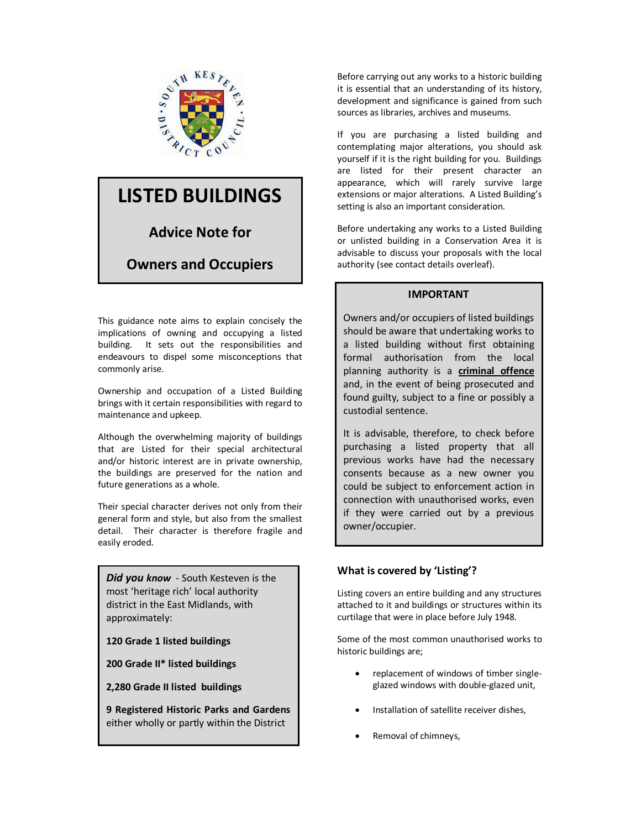

# **LISTED BUILDINGS**

**Advice Note for** 

# **Owners and Occupiers**

This guidance note aims to explain concisely the implications of owning and occupying a listed building. It sets out the responsibilities and endeavours to dispel some misconceptions that commonly arise.

Ownership and occupation of a Listed Building brings with it certain responsibilities with regard to maintenance and upkeep.

Although the overwhelming majority of buildings that are Listed for their special architectural and/or historic interest are in private ownership, the buildings are preserved for the nation and future generations as a whole.

Their special character derives not only from their general form and style, but also from the smallest detail. Their character is therefore fragile and easily eroded.

*Did you know* - South Kesteven is the most 'heritage rich' local authority district in the East Midlands, with approximately:

**120 Grade 1 listed buildings** 

**200 Grade II\* listed buildings** 

**2,280 Grade II listed buildings** 

**9 Registered Historic Parks and Gardens**  either wholly or partly within the District

Before carrying out any works to a historic building it is essential that an understanding of its history, development and significance is gained from such sources as libraries, archives and museums.

If you are purchasing a listed building and contemplating major alterations, you should ask yourself if it is the right building for you. Buildings are listed for their present character an appearance, which will rarely survive large extensions or major alterations. A Listed Building's setting is also an important consideration.

Before undertaking any works to a Listed Building or unlisted building in a Conservation Area it is advisable to discuss your proposals with the local authority (see contact details overleaf).

#### **IMPORTANT**

Owners and/or occupiers of listed buildings should be aware that undertaking works to a listed building without first obtaining formal authorisation from the local planning authority is a **criminal offence** and, in the event of being prosecuted and found guilty, subject to a fine or possibly a custodial sentence.

It is advisable, therefore, to check before purchasing a listed property that all previous works have had the necessary consents because as a new owner you could be subject to enforcement action in connection with unauthorised works, even if they were carried out by a previous owner/occupier.

#### **What is covered by 'Listing'?**

Listing covers an entire building and any structures attached to it and buildings or structures within its curtilage that were in place before July 1948.

Some of the most common unauthorised works to historic buildings are;

- · replacement of windows of timber singleglazed windows with double-glazed unit,
- · Installation of satellite receiver dishes,
- Removal of chimneys,